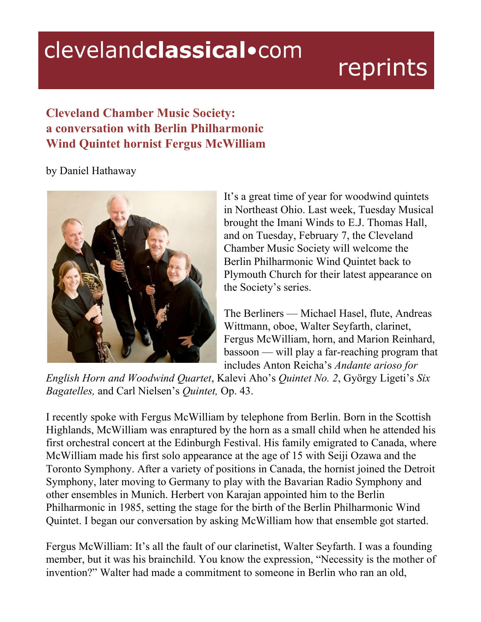## clevelandclassical.com

# reprints

### **Cleveland Chamber Music Society: a conversation with Berlin Philharmonic Wind Quintet hornist Fergus McWilliam**

by Daniel Hathaway



It's a great time of year for woodwind quintets in Northeast Ohio. Last week, Tuesday Musical brought the Imani Winds to E.J. Thomas Hall, and on Tuesday, February 7, the Cleveland Chamber Music Society will welcome the Berlin Philharmonic Wind Quintet back to Plymouth Church for their latest appearance on the Society's series.

The Berliners — Michael Hasel, flute, Andreas Wittmann, oboe, Walter Seyfarth, clarinet, Fergus McWilliam, horn, and Marion Reinhard, bassoon — will play a far-reaching program that includes Anton Reicha's *Andante arioso for*

*English Horn and Woodwind Quartet*, Kalevi Aho's *Quintet No. 2*, György Ligeti's *Six Bagatelles,* and Carl Nielsen's *Quintet,* Op. 43.

I recently spoke with Fergus McWilliam by telephone from Berlin. Born in the Scottish Highlands, McWilliam was enraptured by the horn as a small child when he attended his first orchestral concert at the Edinburgh Festival. His family emigrated to Canada, where McWilliam made his first solo appearance at the age of 15 with Seiji Ozawa and the Toronto Symphony. After a variety of positions in Canada, the hornist joined the Detroit Symphony, later moving to Germany to play with the Bavarian Radio Symphony and other ensembles in Munich. Herbert von Karajan appointed him to the Berlin Philharmonic in 1985, setting the stage for the birth of the Berlin Philharmonic Wind Quintet. I began our conversation by asking McWilliam how that ensemble got started.

Fergus McWilliam: It's all the fault of our clarinetist, Walter Seyfarth. I was a founding member, but it was his brainchild. You know the expression, "Necessity is the mother of invention?" Walter had made a commitment to someone in Berlin who ran an old,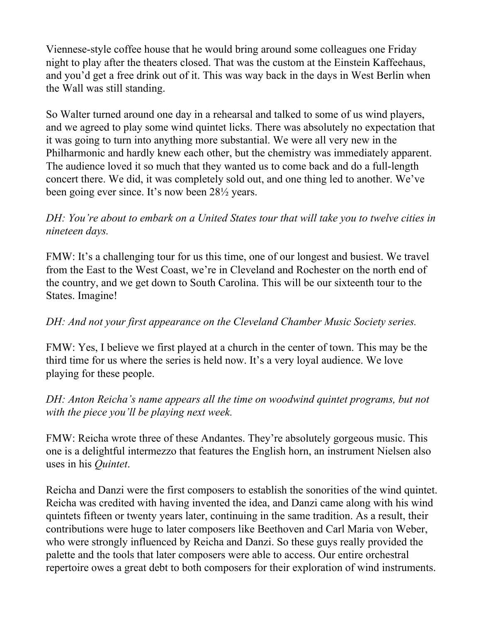Viennese-style coffee house that he would bring around some colleagues one Friday night to play after the theaters closed. That was the custom at the Einstein Kaffeehaus, and you'd get a free drink out of it. This was way back in the days in West Berlin when the Wall was still standing.

So Walter turned around one day in a rehearsal and talked to some of us wind players, and we agreed to play some wind quintet licks. There was absolutely no expectation that it was going to turn into anything more substantial. We were all very new in the Philharmonic and hardly knew each other, but the chemistry was immediately apparent. The audience loved it so much that they wanted us to come back and do a full-length concert there. We did, it was completely sold out, and one thing led to another. We've been going ever since. It's now been 28½ years.

*DH: You're about to embark on a United States tour that will take you to twelve cities in nineteen days.*

FMW: It's a challenging tour for us this time, one of our longest and busiest. We travel from the East to the West Coast, we're in Cleveland and Rochester on the north end of the country, and we get down to South Carolina. This will be our sixteenth tour to the States. Imagine!

#### *DH: And not your first appearance on the Cleveland Chamber Music Society series.*

FMW: Yes, I believe we first played at a church in the center of town. This may be the third time for us where the series is held now. It's a very loyal audience. We love playing for these people.

*DH: Anton Reicha's name appears all the time on woodwind quintet programs, but not with the piece you'll be playing next week.*

FMW: Reicha wrote three of these Andantes. They're absolutely gorgeous music. This one is a delightful intermezzo that features the English horn, an instrument Nielsen also uses in his *Quintet*.

Reicha and Danzi were the first composers to establish the sonorities of the wind quintet. Reicha was credited with having invented the idea, and Danzi came along with his wind quintets fifteen or twenty years later, continuing in the same tradition. As a result, their contributions were huge to later composers like Beethoven and Carl Maria von Weber, who were strongly influenced by Reicha and Danzi. So these guys really provided the palette and the tools that later composers were able to access. Our entire orchestral repertoire owes a great debt to both composers for their exploration of wind instruments.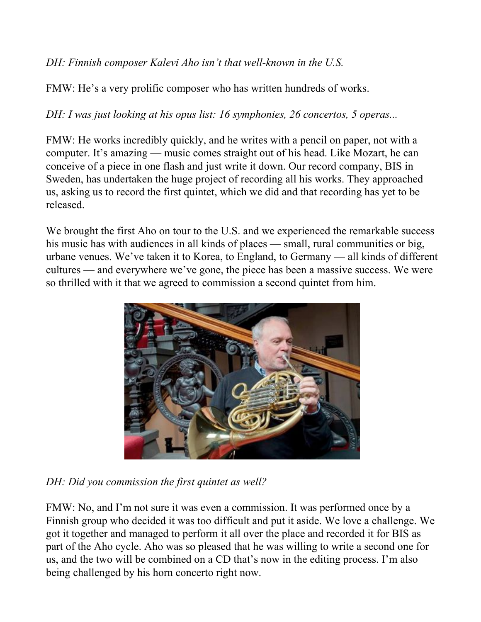#### *DH: Finnish composer Kalevi Aho isn't that well-known in the U.S.*

FMW: He's a very prolific composer who has written hundreds of works.

*DH: I was just looking at his opus list: 16 symphonies, 26 concertos, 5 operas...*

FMW: He works incredibly quickly, and he writes with a pencil on paper, not with a computer. It's amazing — music comes straight out of his head. Like Mozart, he can conceive of a piece in one flash and just write it down. Our record company, BIS in Sweden, has undertaken the huge project of recording all his works. They approached us, asking us to record the first quintet, which we did and that recording has yet to be released.

We brought the first Aho on tour to the U.S. and we experienced the remarkable success his music has with audiences in all kinds of places — small, rural communities or big, urbane venues. We've taken it to Korea, to England, to Germany — all kinds of different cultures — and everywhere we've gone, the piece has been a massive success. We were so thrilled with it that we agreed to commission a second quintet from him.



*DH: Did you commission the first quintet as well?*

FMW: No, and I'm not sure it was even a commission. It was performed once by a Finnish group who decided it was too difficult and put it aside. We love a challenge. We got it together and managed to perform it all over the place and recorded it for BIS as part of the Aho cycle. Aho was so pleased that he was willing to write a second one for us, and the two will be combined on a CD that's now in the editing process. I'm also being challenged by his horn concerto right now.